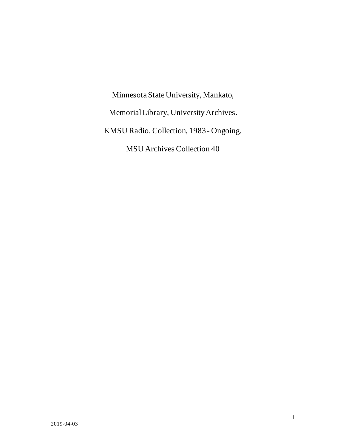Minnesota State University, Mankato, Memorial Library, University Archives. KMSU Radio. Collection, 1983 - Ongoing. MSU Archives Collection 40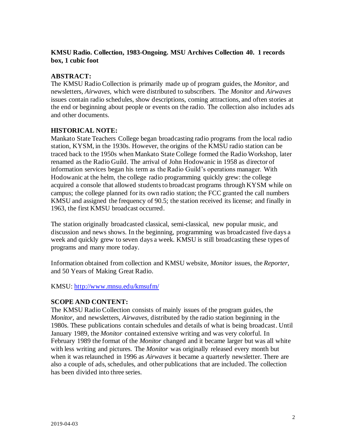# **KMSU Radio. Collection, 1983-Ongoing. MSU Archives Collection 40. 1 records box, 1 cubic foot**

# **ABSTRACT:**

The KMSU Radio Collection is primarily made up of program guides, the *Monitor,* and newsletters, *Airwaves,* which were distributed to subscribers. The *Monitor* and *Airwaves* issues contain radio schedules, show descriptions, coming attractions, and often stories at the end or beginning about people or events on the radio. The collection also includes ads and other documents.

# **HISTORICAL NOTE:**

Mankato State Teachers College began broadcasting radio programs from the local radio station, KYSM, in the 1930s. However, the origins of the KMSU radio station can be traced back to the 1950s when Mankato State College formed the Radio Workshop, later renamed as the Radio Guild. The arrival of John Hodowanic in 1958 as director of information services began his term as the Radio Guild's operations manager. With Hodowanic at the helm, the college radio programming quickly grew: the college acquired a console that allowed students to broadcast programs through KYSM while on campus; the college planned for its own radio station; the FCC granted the call numbers KMSU and assigned the frequency of 90.5; the station received its license; and finally in 1963, the first KMSU broadcast occurred.

The station originally broadcasted classical, semi-classical, new popular music, and discussion and news shows. In the beginning, programming was broadcasted five days a week and quickly grew to seven days a week. KMSU is still broadcasting these types of programs and many more today.

Information obtained from collection and KMSU website, *Monitor* issues, the *Reporter*, and 50 Years of Making Great Radio.

KMSU: http://www.mnsu.edu/kmsufm/

### **SCOPE AND CONTENT:**

The KMSU Radio Collection consists of mainly issues of the program guides, the *Monitor,* and newsletters, *Airwaves,* distributed by the radio station beginning in the 1980s. These publications contain schedules and details of what is being broadcast. Until January 1989, the *Monitor* contained extensive writing and was very colorful. In February 1989 the format of the *Monitor* changed and it became larger but was all white with less writing and pictures. The *Monitor* was originally released every month but when it was relaunched in 1996 as *Airwaves* it became a quarterly newsletter. There are also a couple of ads, schedules, and other publications that are included. The collection has been divided into three series.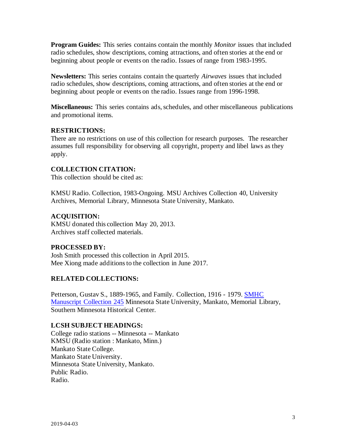**Program Guides:** This series contains contain the monthly *Monitor* issues that included radio schedules, show descriptions, coming attractions, and often stories at the end or beginning about people or events on the radio. Issues of range from 1983-1995.

**Newsletters:** This series contains contain the quarterly *Airwaves* issues that included radio schedules, show descriptions, coming attractions, and often stories at the end or beginning about people or events on the radio. Issues range from 1996-1998.

**Miscellaneous:** This series contains ads, schedules, and other miscellaneous publications and promotional items.

### **RESTRICTIONS:**

There are no restrictions on use of this collection for research purposes. The researcher assumes full responsibility for observing all copyright, property and libel laws as they apply.

### **COLLECTION CITATION:**

This collection should be cited as:

KMSU Radio. Collection, 1983-Ongoing. MSU Archives Collection 40, University Archives, Memorial Library, Minnesota State University, Mankato.

### **ACQUISITION:**

KMSU donated this collection May 20, 2013. Archives staff collected materials.

### **PROCESSED BY:**

Josh Smith processed this collection in April 2015. Mee Xiong made additions to the collection in June 2017.

# **RELATED COLLECTIONS:**

Petterson, Gustav S., 1889-1965, and Family. Collection, 1916 - 1979. SMHC Manuscript Collection 245 Minnesota State University, Mankato, Memorial Library, Southern Minnesota Historical Center.

### **LCSH SUBJECT HEADINGS:**

College radio stations -- Minnesota -- Mankato KMSU (Radio station : Mankato, Minn.) Mankato State College. Mankato State University. Minnesota State University, Mankato. Public Radio. Radio.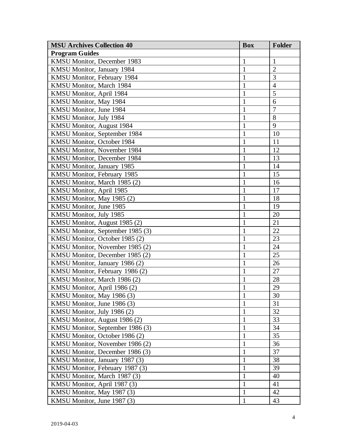| <b>MSU Archives Collection 40</b> | <b>Box</b>     | Folder         |
|-----------------------------------|----------------|----------------|
| <b>Program Guides</b>             |                |                |
| KMSU Monitor, December 1983       | 1              | 1              |
| KMSU Monitor, January 1984        | $\mathbf{1}$   | $\overline{2}$ |
| KMSU Monitor, February 1984       | 1              | 3              |
| KMSU Monitor, March 1984          | $\mathbf{1}$   | $\overline{4}$ |
| KMSU Monitor, April 1984          | 1              | 5              |
| KMSU Monitor, May 1984            | 1              | 6              |
| KMSU Monitor, June 1984           | 1              | 7              |
| KMSU Monitor, July 1984           | $\mathbf{1}$   | 8              |
| <b>KMSU Monitor, August 1984</b>  | $\mathbf{1}$   | 9              |
| KMSU Monitor, September 1984      | $\mathbf{1}$   | 10             |
| KMSU Monitor, October 1984        | $\mathbf{1}$   | 11             |
| KMSU Monitor, November 1984       | 1              | 12             |
| KMSU Monitor, December 1984       | $\mathbf{1}$   | 13             |
| <b>KMSU Monitor, January 1985</b> | 1              | 14             |
| KMSU Monitor, February 1985       | 1              | 15             |
| KMSU Monitor, March 1985 (2)      | 1              | 16             |
| KMSU Monitor, April 1985          | $\mathbf{1}$   | 17             |
| KMSU Monitor, May 1985 (2)        | 1              | 18             |
| KMSU Monitor, June 1985           | $\mathbf{1}$   | 19             |
| KMSU Monitor, July 1985           | 1              | 20             |
| KMSU Monitor, August 1985 (2)     | $\mathbf{1}$   | 21             |
| KMSU Monitor, September 1985 (3)  | $\mathbf{1}$   | 22             |
| KMSU Monitor, October 1985 (2)    | $\mathbf{1}$   | 23             |
| KMSU Monitor, November 1985 (2)   | $\mathbf{1}$   | 24             |
| KMSU Monitor, December 1985 (2)   | $\mathbf{1}$   | 25             |
| KMSU Monitor, January 1986 (2)    | $\mathbf{1}$   | 26             |
| KMSU Monitor, February 1986 (2)   | $\mathbf{1}$   | 27             |
| KMSU Monitor, March 1986 (2)      | 1              | 28             |
| KMSU Monitor, April 1986 (2)      | $\mathbf{1}$   | 29             |
| KMSU Monitor, May 1986 (3)        | $\overline{1}$ | $30\,$         |
| KMSU Monitor, June 1986 (3)       | 1              | 31             |
| KMSU Monitor, July 1986 (2)       | $\mathbf{1}$   | 32             |
| KMSU Monitor, August 1986 (2)     | $\mathbf{1}$   | 33             |
| KMSU Monitor, September 1986 (3)  | $\mathbf{1}$   | 34             |
| KMSU Monitor, October 1986 (2)    | $\mathbf{1}$   | 35             |
| KMSU Monitor, November 1986 (2)   | 1              | 36             |
| KMSU Monitor, December 1986 (3)   | $\mathbf{1}$   | 37             |
| KMSU Monitor, January 1987 (3)    | $\mathbf{1}$   | 38             |
| KMSU Monitor, February 1987 (3)   | 1              | 39             |
| KMSU Monitor, March 1987 (3)      | 1              | 40             |
| KMSU Monitor, April 1987 (3)      | $\mathbf{1}$   | 41             |
| KMSU Monitor, May 1987 (3)        | $\mathbf{1}$   | 42             |
| KMSU Monitor, June 1987 (3)       | 1              | 43             |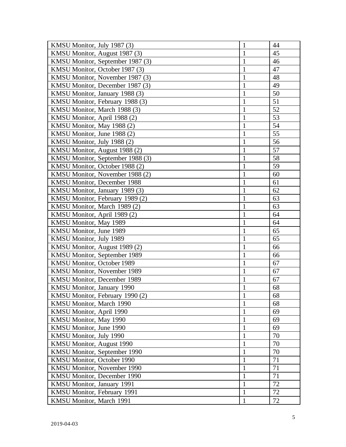| KMSU Monitor, July 1987 (3)      | $\mathbf{1}$ | 44 |
|----------------------------------|--------------|----|
| KMSU Monitor, August 1987 (3)    | 1            | 45 |
| KMSU Monitor, September 1987 (3) | $\mathbf{1}$ | 46 |
| KMSU Monitor, October 1987 (3)   | 1            | 47 |
| KMSU Monitor, November 1987 (3)  | $\mathbf{1}$ | 48 |
| KMSU Monitor, December 1987 (3)  | $\mathbf{1}$ | 49 |
| KMSU Monitor, January 1988 (3)   | $\mathbf{1}$ | 50 |
| KMSU Monitor, February 1988 (3)  | $\mathbf{1}$ | 51 |
| KMSU Monitor, March 1988 (3)     | $\mathbf{1}$ | 52 |
| KMSU Monitor, April 1988 (2)     | $\mathbf{1}$ | 53 |
| KMSU Monitor, May 1988 (2)       | $\mathbf{1}$ | 54 |
| KMSU Monitor, June 1988 (2)      | $\mathbf{1}$ | 55 |
| KMSU Monitor, July 1988 (2)      | $\mathbf{1}$ | 56 |
| KMSU Monitor, August 1988 (2)    | 1            | 57 |
| KMSU Monitor, September 1988 (3) | $\mathbf{1}$ | 58 |
| KMSU Monitor, October 1988 (2)   | $\mathbf{1}$ | 59 |
| KMSU Monitor, November 1988 (2)  | 1            | 60 |
| KMSU Monitor, December 1988      | $\mathbf{1}$ | 61 |
| KMSU Monitor, January 1989 (3)   | $\mathbf{1}$ | 62 |
| KMSU Monitor, February 1989 (2)  | $\mathbf{1}$ | 63 |
| KMSU Monitor, March 1989 (2)     | $\mathbf{1}$ | 63 |
| KMSU Monitor, April 1989 (2)     | $\mathbf{1}$ | 64 |
| KMSU Monitor, May 1989           | $\mathbf{1}$ | 64 |
| KMSU Monitor, June 1989          | $\mathbf{1}$ | 65 |
| KMSU Monitor, July 1989          | $\mathbf{1}$ | 65 |
| KMSU Monitor, August 1989 (2)    | $\mathbf{1}$ | 66 |
| KMSU Monitor, September 1989     | $\mathbf{1}$ | 66 |
| KMSU Monitor, October 1989       | $\mathbf{1}$ | 67 |
| KMSU Monitor, November 1989      | $\mathbf{1}$ | 67 |
| KMSU Monitor, December 1989      | $\mathbf{1}$ | 67 |
| KMSU Monitor, January 1990       | $\mathbf{1}$ | 68 |
| KMSU Monitor, February 1990 (2)  | 1            | 68 |
| KMSU Monitor, March 1990         | $\mathbf{1}$ | 68 |
| KMSU Monitor, April 1990         | $\mathbf{1}$ | 69 |
| KMSU Monitor, May 1990           | $\mathbf{1}$ | 69 |
| KMSU Monitor, June 1990          | $\mathbf{1}$ | 69 |
| KMSU Monitor, July 1990          | $\mathbf{1}$ | 70 |
| <b>KMSU Monitor, August 1990</b> | $\mathbf{1}$ | 70 |
| KMSU Monitor, September 1990     | $\mathbf{1}$ | 70 |
| KMSU Monitor, October 1990       | $\mathbf{1}$ | 71 |
| KMSU Monitor, November 1990      | $\mathbf{1}$ | 71 |
| KMSU Monitor, December 1990      | $\mathbf{1}$ | 71 |
| KMSU Monitor, January 1991       | $\mathbf{1}$ | 72 |
| KMSU Monitor, February 1991      | $\mathbf{1}$ | 72 |
| KMSU Monitor, March 1991         | $\mathbf{1}$ | 72 |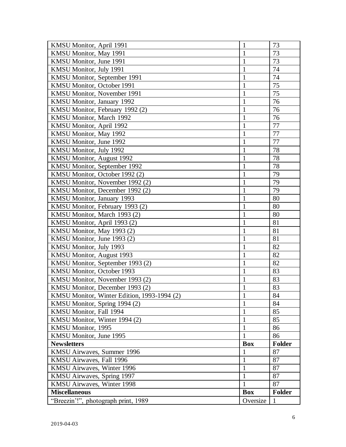| KMSU Monitor, April 1991                    | 1            | 73            |
|---------------------------------------------|--------------|---------------|
| KMSU Monitor, May 1991                      | $\mathbf{1}$ | 73            |
| KMSU Monitor, June 1991                     | 1            | 73            |
| KMSU Monitor, July 1991                     | 1            | 74            |
| KMSU Monitor, September 1991                | 1            | 74            |
| KMSU Monitor, October 1991                  | $\mathbf{1}$ | 75            |
| KMSU Monitor, November 1991                 | 1            | 75            |
| KMSU Monitor, January 1992                  | $\mathbf{1}$ | 76            |
| KMSU Monitor, February 1992 (2)             | 1            | 76            |
| KMSU Monitor, March 1992                    | $\mathbf{1}$ | 76            |
| KMSU Monitor, April 1992                    | $\mathbf{1}$ | 77            |
| KMSU Monitor, May 1992                      | $\mathbf{1}$ | 77            |
| KMSU Monitor, June 1992                     | $\mathbf{1}$ | 77            |
| KMSU Monitor, July 1992                     | 1            | 78            |
| <b>KMSU Monitor, August 1992</b>            | $\mathbf{1}$ | 78            |
| KMSU Monitor, September 1992                | $\mathbf{1}$ | 78            |
| KMSU Monitor, October 1992 (2)              | 1            | 79            |
| KMSU Monitor, November 1992 (2)             | 1            | 79            |
| KMSU Monitor, December 1992 (2)             | $\mathbf{1}$ | 79            |
| KMSU Monitor, January 1993                  | $\mathbf{1}$ | 80            |
| KMSU Monitor, February 1993 (2)             | $\mathbf{1}$ | 80            |
| KMSU Monitor, March 1993 (2)                | 1            | 80            |
| KMSU Monitor, April 1993 (2)                | $\mathbf{1}$ | 81            |
| KMSU Monitor, May 1993 (2)                  | $\mathbf{1}$ | 81            |
| KMSU Monitor, June 1993 (2)                 | $\mathbf{1}$ | 81            |
| KMSU Monitor, July 1993                     | $\mathbf{1}$ | 82            |
| <b>KMSU Monitor, August 1993</b>            | $\mathbf{1}$ | 82            |
| KMSU Monitor, September 1993 (2)            | $\mathbf{1}$ | 82            |
| KMSU Monitor, October 1993                  | $\mathbf{1}$ | 83            |
| KMSU Monitor, November 1993 (2)             | $\mathbf{1}$ | 83            |
| KMSU Monitor, December 1993 (2)             | $\mathbf{1}$ | 83            |
| KMSU Monitor, Winter Edition, 1993-1994 (2) | $\mathbf{1}$ | 84            |
| KMSU Monitor, Spring 1994 (2)               | $\mathbf{1}$ | 84            |
| KMSU Monitor, Fall 1994                     | $\mathbf{1}$ | 85            |
| KMSU Monitor, Winter 1994 (2)               | $\mathbf{1}$ | 85            |
| KMSU Monitor, 1995                          | $\mathbf{1}$ | 86            |
| KMSU Monitor, June 1995                     | $\mathbf{1}$ | 86            |
| <b>Newsletters</b>                          | <b>Box</b>   | <b>Folder</b> |
| KMSU Airwaves, Summer 1996                  | $\mathbf{1}$ | 87            |
| KMSU Airwaves, Fall 1996                    | $\mathbf{1}$ | 87            |
| KMSU Airwaves, Winter 1996                  | $\mathbf{1}$ | 87            |
| KMSU Airwaves, Spring 1997                  | $\mathbf{1}$ | 87            |
| KMSU Airwaves, Winter 1998                  | $\mathbf{1}$ | 87            |
| <b>Miscellaneous</b>                        | <b>Box</b>   | Folder        |
| "Breezin"!", photograph print, 1989         | Oversize     | 1             |